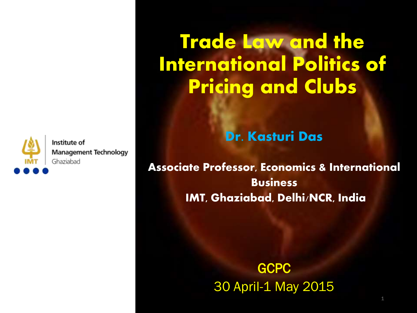**Trade Law and the International Politics of Pricing and Clubs**

**Dr. Kasturi Das**

**Associate Professor, Economics & International Business IMT, Ghaziabad, Delhi/NCR, India**

> **GCPC** 30 April-1 May 2015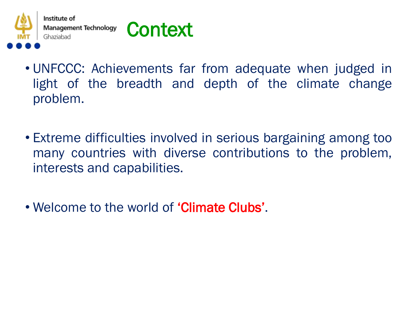



- UNFCCC: Achievements far from adequate when judged in light of the breadth and depth of the climate change problem.
- Extreme difficulties involved in serious bargaining among too many countries with diverse contributions to the problem, interests and capabilities.
- Welcome to the world of **'Climate Clubs'**.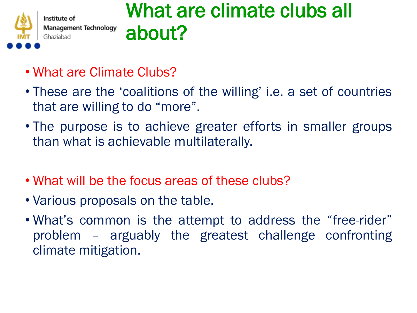

#### What are climate clubs all about?

- What are Climate Clubs?
- These are the 'coalitions of the willing' i.e. a set of countries that are willing to do "more".
- The purpose is to achieve greater efforts in smaller groups than what is achievable multilaterally.
- What will be the focus areas of these clubs?
- Various proposals on the table.
- What's common is the attempt to address the "free-rider" problem – arguably the greatest challenge confronting climate mitigation.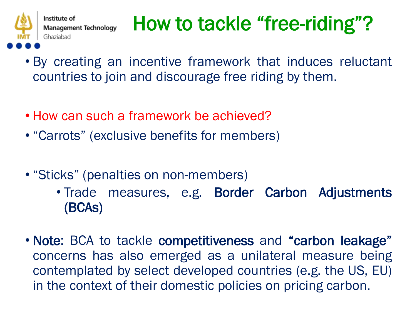

# How to tackle "free-riding"?

- By creating an incentive framework that induces reluctant countries to join and discourage free riding by them.
- How can such a framework be achieved?
- "Carrots" (exclusive benefits for members)
- "Sticks" (penalties on non-members)
	- Trade measures, e.g. Border Carbon Adjustments (BCAs)
- Note: BCA to tackle competitiveness and "carbon leakage" concerns has also emerged as a unilateral measure being contemplated by select developed countries (e.g. the US, EU) in the context of their domestic policies on pricing carbon.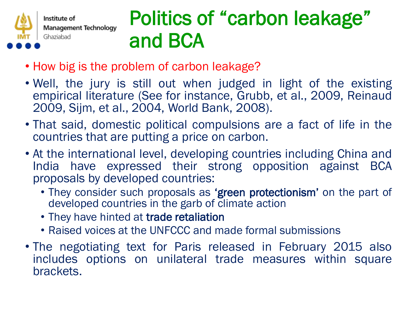

#### Politics of "carbon leakage" and BCA

- How big is the problem of carbon leakage?
- Well, the jury is still out when judged in light of the existing empirical literature (See for instance, Grubb, et al., 2009, Reinaud 2009, Sijm, et al., 2004, World Bank, 2008).
- That said, domestic political compulsions are a fact of life in the countries that are putting a price on carbon.
- At the international level, developing countries including China and India have expressed their strong opposition against BCA proposals by developed countries:
	- They consider such proposals as 'green protectionism' on the part of developed countries in the garb of climate action
	- They have hinted at trade retaliation
	- Raised voices at the UNFCCC and made formal submissions
- The negotiating text for Paris released in February 2015 also includes options on unilateral trade measures within square brackets.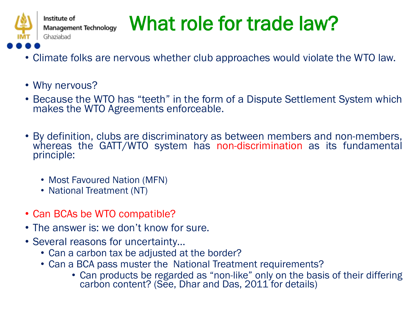

# What role for trade law?

- Climate folks are nervous whether club approaches would violate the WTO law.
- Why nervous?
- Because the WTO has "teeth" in the form of a Dispute Settlement System which makes the WTO Agreements enforceable.
- By definition, clubs are discriminatory as between members and non-members, whereas the GATT/WTO system has non-discrimination as its fundamental principle:
	- Most Favoured Nation (MFN)
	- National Treatment (NT)
- Can BCAs be WTO compatible?
- The answer is: we don't know for sure.
- Several reasons for uncertainty…
	- Can a carbon tax be adjusted at the border?
	- Can a BCA pass muster the National Treatment requirements?
		- Can products be regarded as "non-like" only on the basis of their differing carbon content? (See, Dhar and Das, 2011 for details)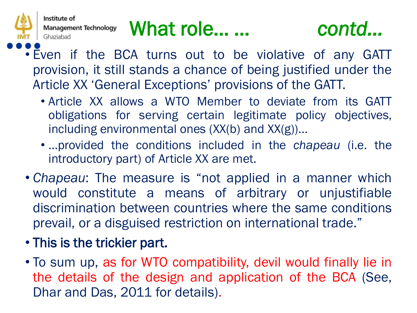Institute of Ghaziabad

## Management Technology What role… … *contd...*



- Even if the BCA turns out to be violative of any GATT provision, it still stands a chance of being justified under the Article XX 'General Exceptions' provisions of the GATT.
	- Article XX allows a WTO Member to deviate from its GATT obligations for serving certain legitimate policy objectives, including environmental ones (XX(b) and XX(g))…
	- …provided the conditions included in the *chapeau* (i.e. the introductory part) of Article XX are met.
- *Chapeau*: The measure is "not applied in a manner which would constitute a means of arbitrary or unjustifiable discrimination between countries where the same conditions prevail, or a disguised restriction on international trade."
- This is the trickier part.
- To sum up, as for WTO compatibility, devil would finally lie in the details of the design and application of the BCA (See, Dhar and Das, 2011 for details).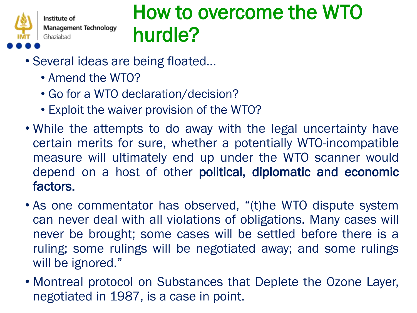

### How to overcome the WTO hurdle?

- Several ideas are being floated…
	- Amend the WTO?
	- Go for a WTO declaration/decision?
	- Exploit the waiver provision of the WTO?
- While the attempts to do away with the legal uncertainty have certain merits for sure, whether a potentially WTO-incompatible measure will ultimately end up under the WTO scanner would depend on a host of other political, diplomatic and economic factors.
- As one commentator has observed, "(t)he WTO dispute system can never deal with all violations of obligations. Many cases will never be brought; some cases will be settled before there is a ruling; some rulings will be negotiated away; and some rulings will be ignored."
- Montreal protocol on Substances that Deplete the Ozone Layer, negotiated in 1987, is a case in point.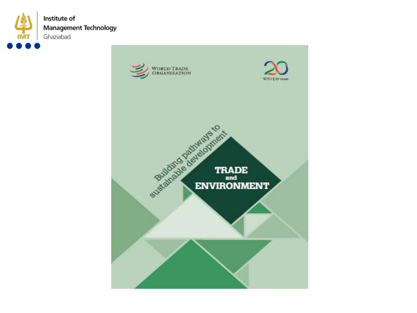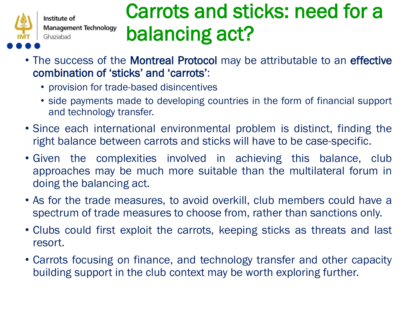

### Carrots and sticks: need for a balancing act?

- The success of the **Montreal Protocol** may be attributable to an effective combination of 'sticks' and 'carrots':
	- provision for trade-based disincentives
	- side payments made to developing countries in the form of financial support and technology transfer.
- Since each international environmental problem is distinct, finding the right balance between carrots and sticks will have to be case-specific.
- Given the complexities involved in achieving this balance, club approaches may be much more suitable than the multilateral forum in doing the balancing act.
- As for the trade measures, to avoid overkill, club members could have a spectrum of trade measures to choose from, rather than sanctions only.
- Clubs could first exploit the carrots, keeping sticks as threats and last resort.
- Carrots focusing on finance, and technology transfer and other capacity building support in the club context may be worth exploring further.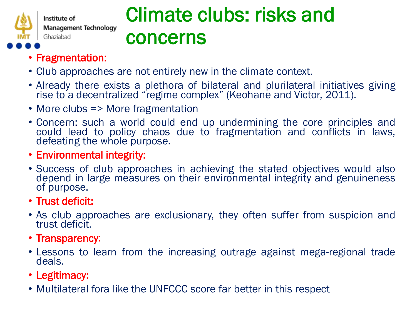

#### Climate clubs: risks and concerns

- Fragmentation:
- Club approaches are not entirely new in the climate context.
- Already there exists a plethora of bilateral and plurilateral initiatives giving rise to a decentralized "regime complex" (Keohane and Victor, 2011).
- More clubs => More fragmentation
- Concern: such a world could end up undermining the core principles and could lead to policy chaos due to fragmentation and conflicts in laws, defeating the whole purpose.
- Environmental integrity:
- Success of club approaches in achieving the stated objectives would also depend in large measures on their environmental integrity and genuineness of purpose.
- Trust deficit:
- As club approaches are exclusionary, they often suffer from suspicion and trust deficit.
- Transparency:
- Lessons to learn from the increasing outrage against mega-regional trade deals.
- Legitimacy:
- Multilateral fora like the UNFCCC score far better in this respect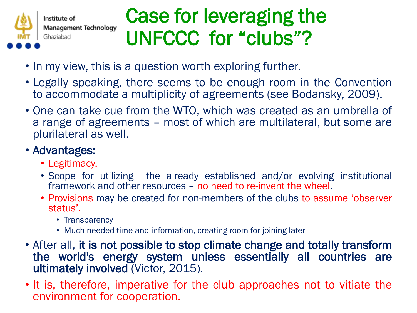

### Case for leveraging the UNFCCC for "clubs"?

- In my view, this is a question worth exploring further.
- Legally speaking, there seems to be enough room in the Convention to accommodate a multiplicity of agreements (see Bodansky, 2009).
- One can take cue from the WTO, which was created as an umbrella of a range of agreements – most of which are multilateral, but some are plurilateral as well.

#### • Advantages:

- Legitimacy.
- Scope for utilizing the already established and/or evolving institutional framework and other resources – no need to re-invent the wheel.
- Provisions may be created for non-members of the clubs to assume 'observer status'.
	- Transparency
	- Much needed time and information, creating room for joining later
- After all, it is not possible to stop climate change and totally transform the world's energy system unless essentially all countries are ultimately involved (Victor, 2015).
- It is, therefore, imperative for the club approaches not to vitiate the environment for cooperation.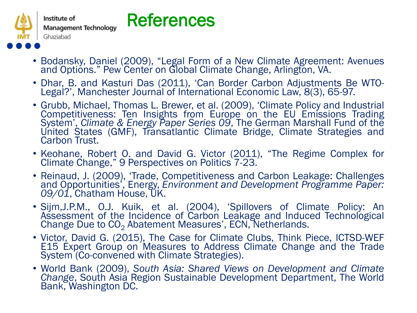



- Bodansky, Daniel (2009), "Legal Form of a New Climate Agreement: Avenues and Options." Pew Center on Global Climate Change, Arlington, VA.
- Dhar, B. and Kasturi Das (2011), 'Can Border Carbon Adjustments Be WTO-Legal?', Manchester Journal of International Economic Law, 8(3), 65-97.
- Grubb, Michael, Thomas L. Brewer, et al. (2009), 'Climate Policy and Industrial Competitiveness: Ten Insights from Europe on the EU Emissions Trading System', *Climate & Energy Paper Series 09*, The German Marshall Fund of the United States (GMF), Transatlantic Climate Bridge, Climate Strategies and Carbon Trust.
- Keohane, Robert O. and David G. Victor (2011), "The Regime Complex for Climate Change," 9 Perspectives on Politics 7-23.
- Reinaud, J. (2009), 'Trade, Competitiveness and Carbon Leakage: Challenges and Opportunities', Energy, *Environment and Development Programme Paper: 09/01*, Chatham House, UK.
- Sijm,J.P.M., O.J. Kuik, et al. (2004), 'Spillovers of Climate Policy: An Assessment of the Incidence of Carbon Leakage and Induced Technological Change Due to CO<sub>2</sub> Abatement Measures', ECN, Netherlands.
- Victor, David G. (2015), The Case for Climate Clubs, Think Piece, ICTSD-WEF E15 Expert Group on Measures to Address Climate Change and the Trade System (Co-convened with Climate Strategies).
- World Bank (2009), *South Asia: Shared Views on Development and Climate Change*, South Asia Region Sustainable Development Department, The World Bank, Washington DC.